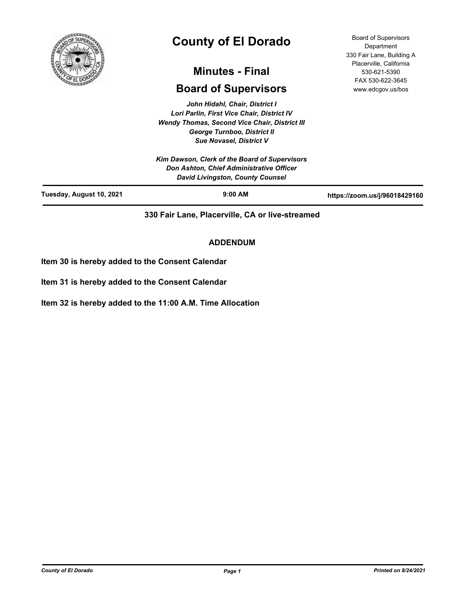

# **County of El Dorado**

## **Minutes - Final**

## **Board of Supervisors**

*John Hidahl, Chair, District I Lori Parlin, First Vice Chair, District IV Wendy Thomas, Second Vice Chair, District III George Turnboo, District II Sue Novasel, District V*

*Kim Dawson, Clerk of the Board of Supervisors Don Ashton, Chief Administrative Officer David Livingston, County Counsel* **Tuesday, August 10, 2021 9:00 AM https://zoom.us/j/96018429160**

Board of Supervisors **Department** 330 Fair Lane, Building A Placerville, California 530-621-5390 FAX 530-622-3645 www.edcgov.us/bos

**330 Fair Lane, Placerville, CA or live-streamed**

## **ADDENDUM**

**Item 30 is hereby added to the Consent Calendar**

**Item 31 is hereby added to the Consent Calendar**

**Item 32 is hereby added to the 11:00 A.M. Time Allocation**

*County of El Dorado Page 1 Printed on 8/24/2021*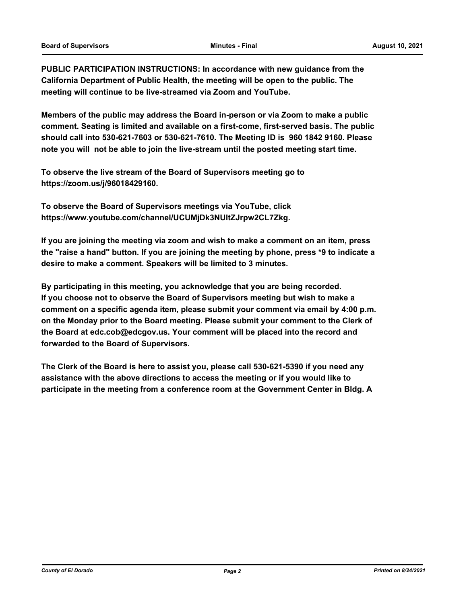**PUBLIC PARTICIPATION INSTRUCTIONS: In accordance with new guidance from the California Department of Public Health, the meeting will be open to the public. The meeting will continue to be live-streamed via Zoom and YouTube.**

**Members of the public may address the Board in-person or via Zoom to make a public comment. Seating is limited and available on a first-come, first-served basis. The public should call into 530-621-7603 or 530-621-7610. The Meeting ID is 960 1842 9160. Please note you will not be able to join the live-stream until the posted meeting start time.**

**To observe the live stream of the Board of Supervisors meeting go to https://zoom.us/j/96018429160.**

**To observe the Board of Supervisors meetings via YouTube, click https://www.youtube.com/channel/UCUMjDk3NUltZJrpw2CL7Zkg.**

**If you are joining the meeting via zoom and wish to make a comment on an item, press the "raise a hand" button. If you are joining the meeting by phone, press \*9 to indicate a desire to make a comment. Speakers will be limited to 3 minutes.**

**By participating in this meeting, you acknowledge that you are being recorded. If you choose not to observe the Board of Supervisors meeting but wish to make a comment on a specific agenda item, please submit your comment via email by 4:00 p.m. on the Monday prior to the Board meeting. Please submit your comment to the Clerk of the Board at edc.cob@edcgov.us. Your comment will be placed into the record and forwarded to the Board of Supervisors.**

**The Clerk of the Board is here to assist you, please call 530-621-5390 if you need any assistance with the above directions to access the meeting or if you would like to participate in the meeting from a conference room at the Government Center in Bldg. A**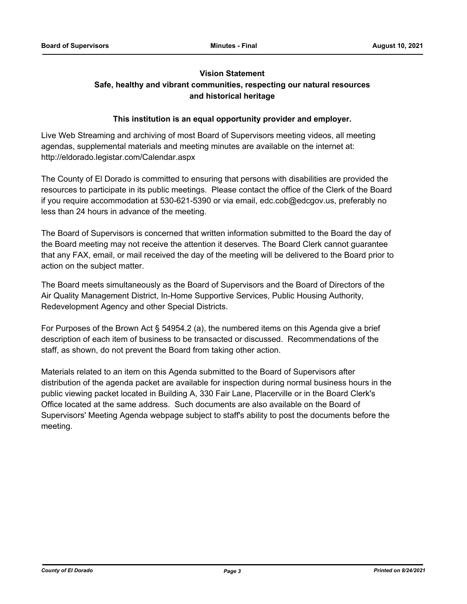## **Vision Statement**

## **Safe, healthy and vibrant communities, respecting our natural resources and historical heritage**

## **This institution is an equal opportunity provider and employer.**

Live Web Streaming and archiving of most Board of Supervisors meeting videos, all meeting agendas, supplemental materials and meeting minutes are available on the internet at: http://eldorado.legistar.com/Calendar.aspx

The County of El Dorado is committed to ensuring that persons with disabilities are provided the resources to participate in its public meetings. Please contact the office of the Clerk of the Board if you require accommodation at 530-621-5390 or via email, edc.cob@edcgov.us, preferably no less than 24 hours in advance of the meeting.

The Board of Supervisors is concerned that written information submitted to the Board the day of the Board meeting may not receive the attention it deserves. The Board Clerk cannot guarantee that any FAX, email, or mail received the day of the meeting will be delivered to the Board prior to action on the subject matter.

The Board meets simultaneously as the Board of Supervisors and the Board of Directors of the Air Quality Management District, In-Home Supportive Services, Public Housing Authority, Redevelopment Agency and other Special Districts.

For Purposes of the Brown Act § 54954.2 (a), the numbered items on this Agenda give a brief description of each item of business to be transacted or discussed. Recommendations of the staff, as shown, do not prevent the Board from taking other action.

Materials related to an item on this Agenda submitted to the Board of Supervisors after distribution of the agenda packet are available for inspection during normal business hours in the public viewing packet located in Building A, 330 Fair Lane, Placerville or in the Board Clerk's Office located at the same address. Such documents are also available on the Board of Supervisors' Meeting Agenda webpage subject to staff's ability to post the documents before the meeting.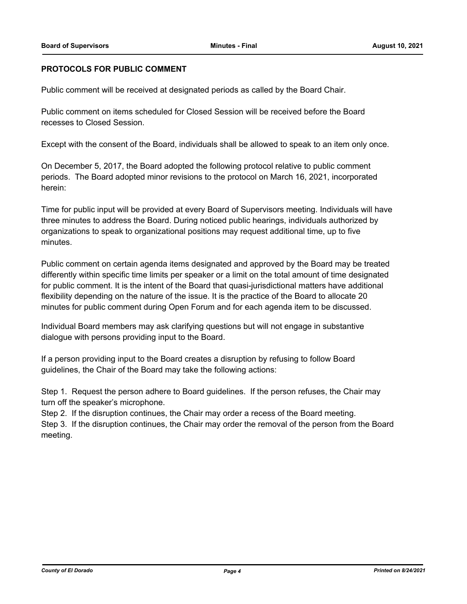## **PROTOCOLS FOR PUBLIC COMMENT**

Public comment will be received at designated periods as called by the Board Chair.

Public comment on items scheduled for Closed Session will be received before the Board recesses to Closed Session.

Except with the consent of the Board, individuals shall be allowed to speak to an item only once.

On December 5, 2017, the Board adopted the following protocol relative to public comment periods. The Board adopted minor revisions to the protocol on March 16, 2021, incorporated herein:

Time for public input will be provided at every Board of Supervisors meeting. Individuals will have three minutes to address the Board. During noticed public hearings, individuals authorized by organizations to speak to organizational positions may request additional time, up to five minutes.

Public comment on certain agenda items designated and approved by the Board may be treated differently within specific time limits per speaker or a limit on the total amount of time designated for public comment. It is the intent of the Board that quasi-jurisdictional matters have additional flexibility depending on the nature of the issue. It is the practice of the Board to allocate 20 minutes for public comment during Open Forum and for each agenda item to be discussed.

Individual Board members may ask clarifying questions but will not engage in substantive dialogue with persons providing input to the Board.

If a person providing input to the Board creates a disruption by refusing to follow Board guidelines, the Chair of the Board may take the following actions:

Step 1. Request the person adhere to Board guidelines. If the person refuses, the Chair may turn off the speaker's microphone.

Step 2. If the disruption continues, the Chair may order a recess of the Board meeting.

Step 3. If the disruption continues, the Chair may order the removal of the person from the Board meeting.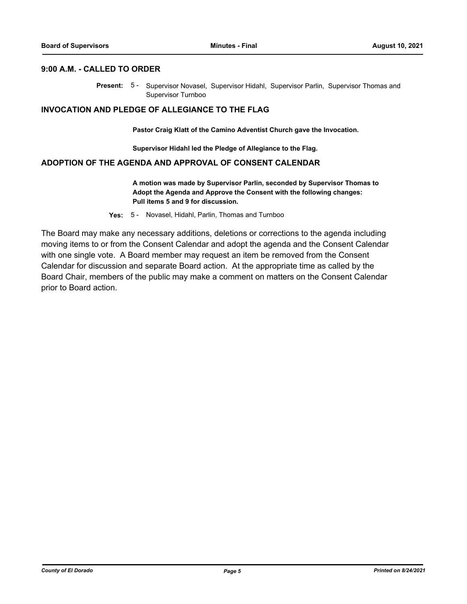### **9:00 A.M. - CALLED TO ORDER**

Present: 5- Supervisor Novasel, Supervisor Hidahl, Supervisor Parlin, Supervisor Thomas and Supervisor Turnboo

#### **INVOCATION AND PLEDGE OF ALLEGIANCE TO THE FLAG**

**Pastor Craig Klatt of the Camino Adventist Church gave the Invocation.**

**Supervisor Hidahl led the Pledge of Allegiance to the Flag.**

## **ADOPTION OF THE AGENDA AND APPROVAL OF CONSENT CALENDAR**

**A motion was made by Supervisor Parlin, seconded by Supervisor Thomas to Adopt the Agenda and Approve the Consent with the following changes: Pull items 5 and 9 for discussion.**

**Yes:** 5 - Novasel, Hidahl, Parlin, Thomas and Turnboo

The Board may make any necessary additions, deletions or corrections to the agenda including moving items to or from the Consent Calendar and adopt the agenda and the Consent Calendar with one single vote. A Board member may request an item be removed from the Consent Calendar for discussion and separate Board action. At the appropriate time as called by the Board Chair, members of the public may make a comment on matters on the Consent Calendar prior to Board action.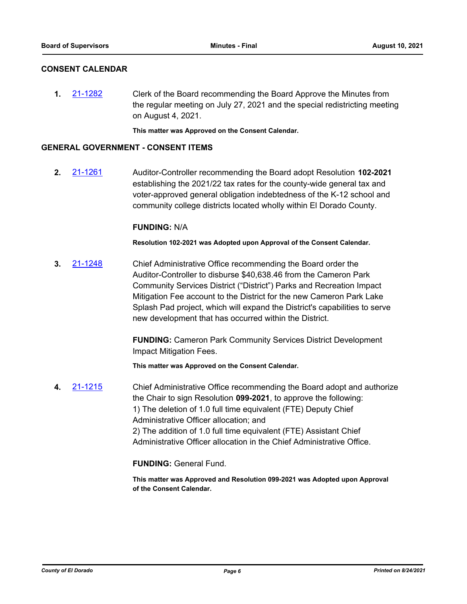## **CONSENT CALENDAR**

**1.** [21-1282](http://eldorado.legistar.com/gateway.aspx?m=l&id=/matter.aspx?key=30177) Clerk of the Board recommending the Board Approve the Minutes from the regular meeting on July 27, 2021 and the special redistricting meeting on August 4, 2021.

**This matter was Approved on the Consent Calendar.**

## **GENERAL GOVERNMENT - CONSENT ITEMS**

**2.** [21-1261](http://eldorado.legistar.com/gateway.aspx?m=l&id=/matter.aspx?key=30156) Auditor-Controller recommending the Board adopt Resolution **102-2021**  establishing the 2021/22 tax rates for the county-wide general tax and voter-approved general obligation indebtedness of the K-12 school and community college districts located wholly within El Dorado County.

#### **FUNDING:** N/A

**Resolution 102-2021 was Adopted upon Approval of the Consent Calendar.**

**3.** [21-1248](http://eldorado.legistar.com/gateway.aspx?m=l&id=/matter.aspx?key=30143) Chief Administrative Office recommending the Board order the Auditor-Controller to disburse \$40,638.46 from the Cameron Park Community Services District ("District") Parks and Recreation Impact Mitigation Fee account to the District for the new Cameron Park Lake Splash Pad project, which will expand the District's capabilities to serve new development that has occurred within the District.

> **FUNDING:** Cameron Park Community Services District Development Impact Mitigation Fees.

**This matter was Approved on the Consent Calendar.**

**4.** [21-1215](http://eldorado.legistar.com/gateway.aspx?m=l&id=/matter.aspx?key=30110) Chief Administrative Office recommending the Board adopt and authorize the Chair to sign Resolution **099-2021**, to approve the following: 1) The deletion of 1.0 full time equivalent (FTE) Deputy Chief Administrative Officer allocation; and 2) The addition of 1.0 full time equivalent (FTE) Assistant Chief Administrative Officer allocation in the Chief Administrative Office.

## **FUNDING:** General Fund.

**This matter was Approved and Resolution 099-2021 was Adopted upon Approval of the Consent Calendar.**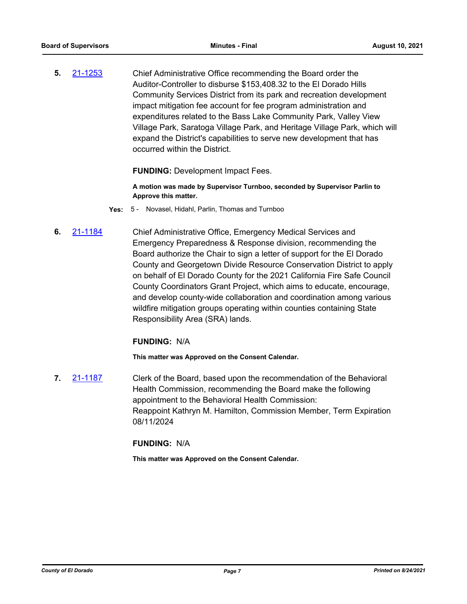**5.** [21-1253](http://eldorado.legistar.com/gateway.aspx?m=l&id=/matter.aspx?key=30148) Chief Administrative Office recommending the Board order the Auditor-Controller to disburse \$153,408.32 to the El Dorado Hills Community Services District from its park and recreation development impact mitigation fee account for fee program administration and expenditures related to the Bass Lake Community Park, Valley View Village Park, Saratoga Village Park, and Heritage Village Park, which will expand the District's capabilities to serve new development that has occurred within the District.

#### **FUNDING: Development Impact Fees.**

**A motion was made by Supervisor Turnboo, seconded by Supervisor Parlin to Approve this matter.**

- **Yes:** 5 Novasel, Hidahl, Parlin, Thomas and Turnboo
- **6.** [21-1184](http://eldorado.legistar.com/gateway.aspx?m=l&id=/matter.aspx?key=30079) Chief Administrative Office, Emergency Medical Services and Emergency Preparedness & Response division, recommending the Board authorize the Chair to sign a letter of support for the El Dorado County and Georgetown Divide Resource Conservation District to apply on behalf of El Dorado County for the 2021 California Fire Safe Council County Coordinators Grant Project, which aims to educate, encourage, and develop county-wide collaboration and coordination among various wildfire mitigation groups operating within counties containing State Responsibility Area (SRA) lands.

#### **FUNDING:** N/A

**This matter was Approved on the Consent Calendar.**

**7.** [21-1187](http://eldorado.legistar.com/gateway.aspx?m=l&id=/matter.aspx?key=30082) Clerk of the Board, based upon the recommendation of the Behavioral Health Commission, recommending the Board make the following appointment to the Behavioral Health Commission: Reappoint Kathryn M. Hamilton, Commission Member, Term Expiration 08/11/2024

#### **FUNDING:** N/A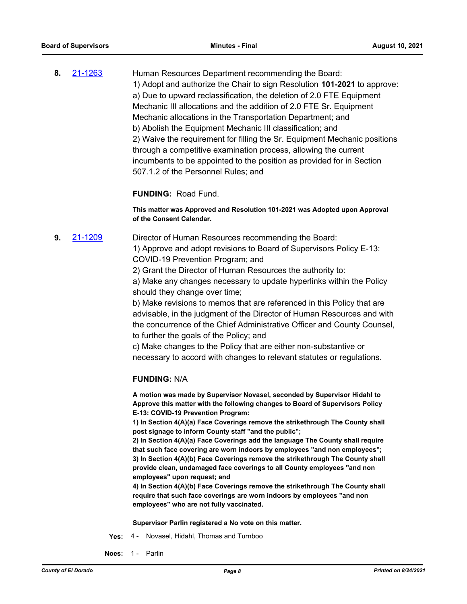**8.** [21-1263](http://eldorado.legistar.com/gateway.aspx?m=l&id=/matter.aspx?key=30158) Human Resources Department recommending the Board: 1) Adopt and authorize the Chair to sign Resolution **101-2021** to approve: a) Due to upward reclassification, the deletion of 2.0 FTE Equipment Mechanic III allocations and the addition of 2.0 FTE Sr. Equipment Mechanic allocations in the Transportation Department; and b) Abolish the Equipment Mechanic III classification; and 2) Waive the requirement for filling the Sr. Equipment Mechanic positions through a competitive examination process, allowing the current incumbents to be appointed to the position as provided for in Section 507.1.2 of the Personnel Rules; and

**FUNDING:** Road Fund.

**This matter was Approved and Resolution 101-2021 was Adopted upon Approval of the Consent Calendar.**

**9.** [21-1209](http://eldorado.legistar.com/gateway.aspx?m=l&id=/matter.aspx?key=30104) Director of Human Resources recommending the Board: 1) Approve and adopt revisions to Board of Supervisors Policy E-13: COVID-19 Prevention Program; and

2) Grant the Director of Human Resources the authority to:

a) Make any changes necessary to update hyperlinks within the Policy should they change over time;

b) Make revisions to memos that are referenced in this Policy that are advisable, in the judgment of the Director of Human Resources and with the concurrence of the Chief Administrative Officer and County Counsel, to further the goals of the Policy; and

c) Make changes to the Policy that are either non-substantive or necessary to accord with changes to relevant statutes or regulations.

#### **FUNDING:** N/A

**A motion was made by Supervisor Novasel, seconded by Supervisor Hidahl to Approve this matter with the following changes to Board of Supervisors Policy E-13: COVID-19 Prevention Program:**

**1) In Section 4(A)(a) Face Coverings remove the strikethrough The County shall post signage to inform County staff "and the public";**

**2) In Section 4(A)(a) Face Coverings add the language The County shall require that such face covering are worn indoors by employees "and non employees"; 3) In Section 4(A)(b) Face Coverings remove the strikethrough The County shall provide clean, undamaged face coverings to all County employees "and non employees" upon request; and**

**4) In Section 4(A)(b) Face Coverings remove the strikethrough The County shall require that such face coverings are worn indoors by employees "and non employees" who are not fully vaccinated.**

**Supervisor Parlin registered a No vote on this matter.**

- **Yes:** 4 Novasel, Hidahl, Thomas and Turnboo
- **Noes:** 1 Parlin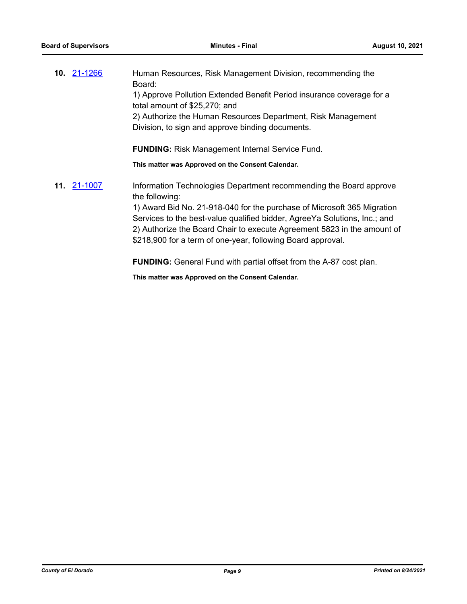| 10. 21-1266 | Human Resources, Risk Management Division, recommending the<br>Board:                                                                                |
|-------------|------------------------------------------------------------------------------------------------------------------------------------------------------|
|             | 1) Approve Pollution Extended Benefit Period insurance coverage for a<br>total amount of \$25,270; and                                               |
|             | 2) Authorize the Human Resources Department, Risk Management<br>Division, to sign and approve binding documents.                                     |
|             | <b>FUNDING:</b> Risk Management Internal Service Fund.                                                                                               |
|             | This matter was Approved on the Consent Calendar.                                                                                                    |
| 11. 21-1007 | Information Technologies Department recommending the Board approve<br>the following:                                                                 |
|             | 1) Award Bid No. 21-918-040 for the purchase of Microsoft 365 Migration<br>Services to the best-value qualified bidder. AgreeVa Solutions, Inc.: and |

Services to the best-value qualified bidder, AgreeYa Solutions, Inc.; and 2) Authorize the Board Chair to execute Agreement 5823 in the amount of \$218,900 for a term of one-year, following Board approval.

**FUNDING:** General Fund with partial offset from the A-87 cost plan.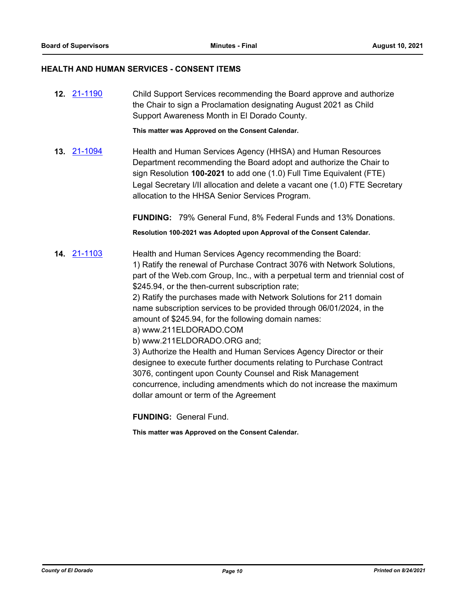#### **HEALTH AND HUMAN SERVICES - CONSENT ITEMS**

**12.** [21-1190](http://eldorado.legistar.com/gateway.aspx?m=l&id=/matter.aspx?key=30085) Child Support Services recommending the Board approve and authorize the Chair to sign a Proclamation designating August 2021 as Child Support Awareness Month in El Dorado County.

**This matter was Approved on the Consent Calendar.**

**13.** [21-1094](http://eldorado.legistar.com/gateway.aspx?m=l&id=/matter.aspx?key=29988) Health and Human Services Agency (HHSA) and Human Resources Department recommending the Board adopt and authorize the Chair to sign Resolution **100-2021** to add one (1.0) Full Time Equivalent (FTE) Legal Secretary I/II allocation and delete a vacant one (1.0) FTE Secretary allocation to the HHSA Senior Services Program.

**FUNDING:** 79% General Fund, 8% Federal Funds and 13% Donations.

**Resolution 100-2021 was Adopted upon Approval of the Consent Calendar.**

**14.** [21-1103](http://eldorado.legistar.com/gateway.aspx?m=l&id=/matter.aspx?key=29998) Health and Human Services Agency recommending the Board: 1) Ratify the renewal of Purchase Contract 3076 with Network Solutions, part of the Web.com Group, Inc., with a perpetual term and triennial cost of \$245.94, or the then-current subscription rate;

> 2) Ratify the purchases made with Network Solutions for 211 domain name subscription services to be provided through 06/01/2024, in the amount of \$245.94, for the following domain names:

- a) www.211ELDORADO.COM
- b) www.211ELDORADO.ORG and;

3) Authorize the Health and Human Services Agency Director or their designee to execute further documents relating to Purchase Contract 3076, contingent upon County Counsel and Risk Management concurrence, including amendments which do not increase the maximum dollar amount or term of the Agreement

**FUNDING:** General Fund.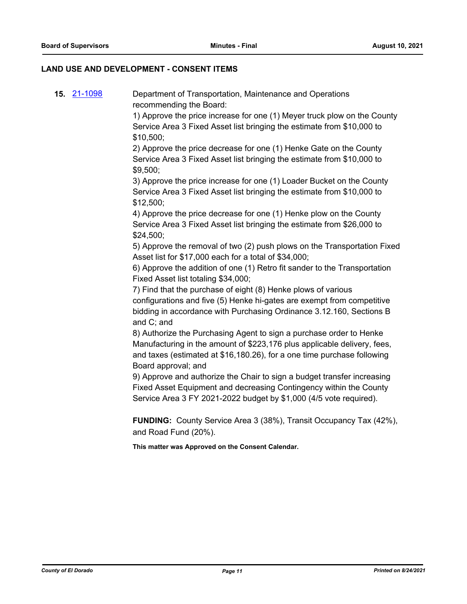## **LAND USE AND DEVELOPMENT - CONSENT ITEMS**

**15.** [21-1098](http://eldorado.legistar.com/gateway.aspx?m=l&id=/matter.aspx?key=29992) Department of Transportation, Maintenance and Operations recommending the Board:

> 1) Approve the price increase for one (1) Meyer truck plow on the County Service Area 3 Fixed Asset list bringing the estimate from \$10,000 to \$10,500;

2) Approve the price decrease for one (1) Henke Gate on the County Service Area 3 Fixed Asset list bringing the estimate from \$10,000 to \$9,500;

3) Approve the price increase for one (1) Loader Bucket on the County Service Area 3 Fixed Asset list bringing the estimate from \$10,000 to \$12,500;

4) Approve the price decrease for one (1) Henke plow on the County Service Area 3 Fixed Asset list bringing the estimate from \$26,000 to \$24,500;

5) Approve the removal of two (2) push plows on the Transportation Fixed Asset list for \$17,000 each for a total of \$34,000;

6) Approve the addition of one (1) Retro fit sander to the Transportation Fixed Asset list totaling \$34,000;

7) Find that the purchase of eight (8) Henke plows of various configurations and five (5) Henke hi-gates are exempt from competitive bidding in accordance with Purchasing Ordinance 3.12.160, Sections B and C; and

8) Authorize the Purchasing Agent to sign a purchase order to Henke Manufacturing in the amount of \$223,176 plus applicable delivery, fees, and taxes (estimated at \$16,180.26), for a one time purchase following Board approval; and

9) Approve and authorize the Chair to sign a budget transfer increasing Fixed Asset Equipment and decreasing Contingency within the County Service Area 3 FY 2021-2022 budget by \$1,000 (4/5 vote required).

**FUNDING:** County Service Area 3 (38%), Transit Occupancy Tax (42%), and Road Fund (20%).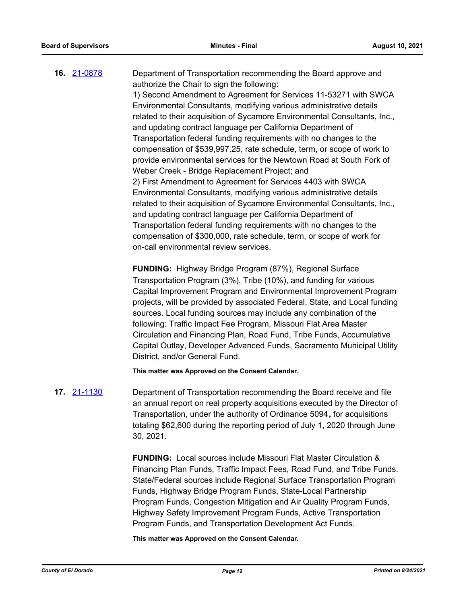**16.** [21-0878](http://eldorado.legistar.com/gateway.aspx?m=l&id=/matter.aspx?key=29773) Department of Transportation recommending the Board approve and authorize the Chair to sign the following: 1) Second Amendment to Agreement for Services 11-53271 with SWCA Environmental Consultants, modifying various administrative details related to their acquisition of Sycamore Environmental Consultants, Inc., and updating contract language per California Department of Transportation federal funding requirements with no changes to the compensation of \$539,997.25, rate schedule, term, or scope of work to provide environmental services for the Newtown Road at South Fork of Weber Creek - Bridge Replacement Project; and 2) First Amendment to Agreement for Services 4403 with SWCA Environmental Consultants, modifying various administrative details related to their acquisition of Sycamore Environmental Consultants, Inc., and updating contract language per California Department of Transportation federal funding requirements with no changes to the compensation of \$300,000, rate schedule, term, or scope of work for on-call environmental review services.

**FUNDING:** Highway Bridge Program (87%), Regional Surface Transportation Program (3%), Tribe (10%), and funding for various Capital Improvement Program and Environmental Improvement Program projects, will be provided by associated Federal, State, and Local funding sources. Local funding sources may include any combination of the following: Traffic Impact Fee Program, Missouri Flat Area Master Circulation and Financing Plan, Road Fund, Tribe Funds, Accumulative Capital Outlay, Developer Advanced Funds, Sacramento Municipal Utility District, and/or General Fund.

**This matter was Approved on the Consent Calendar.**

**17.** [21-1130](http://eldorado.legistar.com/gateway.aspx?m=l&id=/matter.aspx?key=30025) Department of Transportation recommending the Board receive and file an annual report on real property acquisitions executed by the Director of Transportation, under the authority of Ordinance 5094**,** for acquisitions totaling \$62,600 during the reporting period of July 1, 2020 through June 30, 2021.

> **FUNDING:** Local sources include Missouri Flat Master Circulation & Financing Plan Funds, Traffic Impact Fees, Road Fund, and Tribe Funds. State/Federal sources include Regional Surface Transportation Program Funds, Highway Bridge Program Funds, State-Local Partnership Program Funds, Congestion Mitigation and Air Quality Program Funds, Highway Safety Improvement Program Funds, Active Transportation Program Funds, and Transportation Development Act Funds.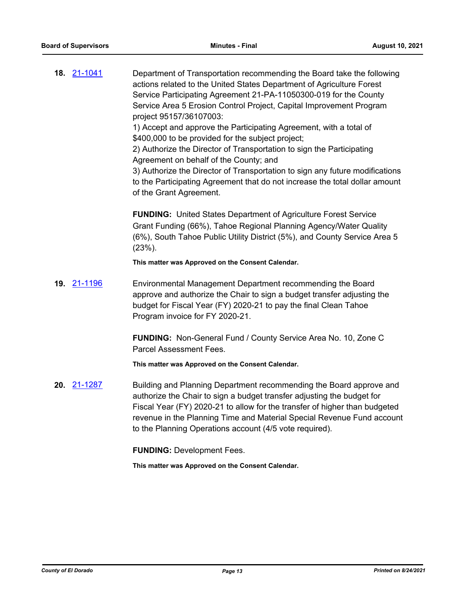**18.** [21-1041](http://eldorado.legistar.com/gateway.aspx?m=l&id=/matter.aspx?key=29935) Department of Transportation recommending the Board take the following actions related to the United States Department of Agriculture Forest Service Participating Agreement 21-PA-11050300-019 for the County Service Area 5 Erosion Control Project, Capital Improvement Program project 95157/36107003: 1) Accept and approve the Participating Agreement, with a total of

\$400,000 to be provided for the subject project;

2) Authorize the Director of Transportation to sign the Participating Agreement on behalf of the County; and

3) Authorize the Director of Transportation to sign any future modifications to the Participating Agreement that do not increase the total dollar amount of the Grant Agreement.

**FUNDING:** United States Department of Agriculture Forest Service Grant Funding (66%), Tahoe Regional Planning Agency/Water Quality (6%), South Tahoe Public Utility District (5%), and County Service Area 5 (23%).

**This matter was Approved on the Consent Calendar.**

**19.** [21-1196](http://eldorado.legistar.com/gateway.aspx?m=l&id=/matter.aspx?key=30091) Environmental Management Department recommending the Board approve and authorize the Chair to sign a budget transfer adjusting the budget for Fiscal Year (FY) 2020-21 to pay the final Clean Tahoe Program invoice for FY 2020-21.

> **FUNDING:** Non-General Fund / County Service Area No. 10, Zone C Parcel Assessment Fees.

**This matter was Approved on the Consent Calendar.**

**20.** [21-1287](http://eldorado.legistar.com/gateway.aspx?m=l&id=/matter.aspx?key=30182) Building and Planning Department recommending the Board approve and authorize the Chair to sign a budget transfer adjusting the budget for Fiscal Year (FY) 2020-21 to allow for the transfer of higher than budgeted revenue in the Planning Time and Material Special Revenue Fund account to the Planning Operations account (4/5 vote required).

**FUNDING:** Development Fees.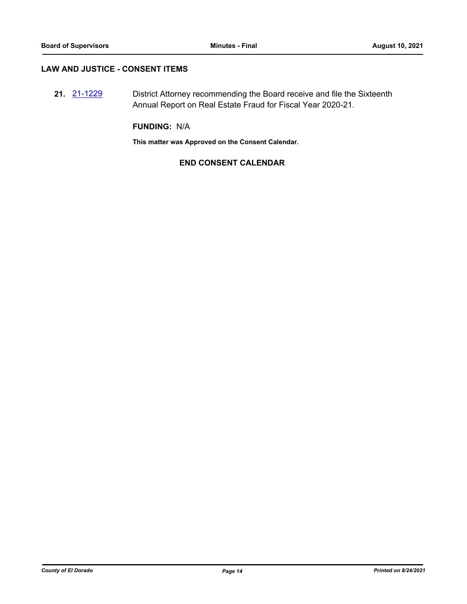### **LAW AND JUSTICE - CONSENT ITEMS**

**21.** [21-1229](http://eldorado.legistar.com/gateway.aspx?m=l&id=/matter.aspx?key=30124) District Attorney recommending the Board receive and file the Sixteenth Annual Report on Real Estate Fraud for Fiscal Year 2020-21.

**FUNDING:** N/A

**This matter was Approved on the Consent Calendar.**

## **END CONSENT CALENDAR**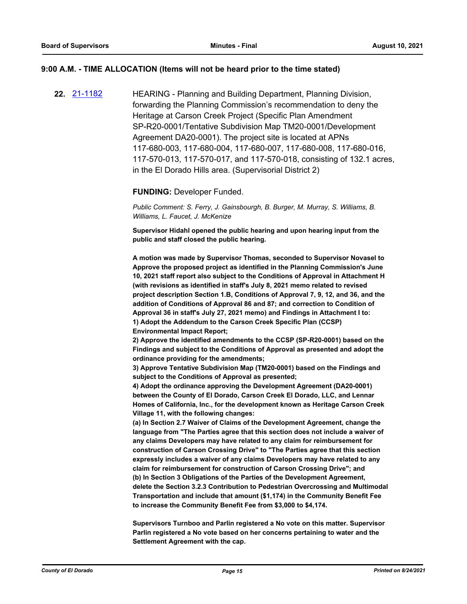#### **9:00 A.M. - TIME ALLOCATION (Items will not be heard prior to the time stated)**

**22.** [21-1182](http://eldorado.legistar.com/gateway.aspx?m=l&id=/matter.aspx?key=30077) HEARING - Planning and Building Department, Planning Division, forwarding the Planning Commission's recommendation to deny the Heritage at Carson Creek Project (Specific Plan Amendment SP-R20-0001/Tentative Subdivision Map TM20-0001/Development Agreement DA20-0001). The project site is located at APNs 117-680-003, 117-680-004, 117-680-007, 117-680-008, 117-680-016, 117-570-013, 117-570-017, and 117-570-018, consisting of 132.1 acres, in the El Dorado Hills area. (Supervisorial District 2)

#### **FUNDING:** Developer Funded.

*Public Comment: S. Ferry, J. Gainsbourgh, B. Burger, M. Murray, S. Williams, B. Williams, L. Faucet, J. McKenize*

**Supervisor Hidahl opened the public hearing and upon hearing input from the public and staff closed the public hearing.**

**A motion was made by Supervisor Thomas, seconded to Supervisor Novasel to Approve the proposed project as identified in the Planning Commission's June 10, 2021 staff report also subject to the Conditions of Approval in Attachment H (with revisions as identified in staff's July 8, 2021 memo related to revised project description Section 1.B, Conditions of Approval 7, 9, 12, and 36, and the addition of Conditions of Approval 86 and 87; and correction to Condition of Approval 36 in staff's July 27, 2021 memo) and Findings in Attachment I to: 1) Adopt the Addendum to the Carson Creek Specific Plan (CCSP) Environmental Impact Report;**

**2) Approve the identified amendments to the CCSP (SP-R20-0001) based on the Findings and subject to the Conditions of Approval as presented and adopt the ordinance providing for the amendments;**

**3) Approve Tentative Subdivision Map (TM20-0001) based on the Findings and subject to the Conditions of Approval as presented;** 

**4) Adopt the ordinance approving the Development Agreement (DA20-0001) between the County of El Dorado, Carson Creek El Dorado, LLC, and Lennar Homes of California, Inc., for the development known as Heritage Carson Creek Village 11, with the following changes:**

**(a) In Section 2.7 Waiver of Claims of the Development Agreement, change the language from "The Parties agree that this section does not include a waiver of any claims Developers may have related to any claim for reimbursement for construction of Carson Crossing Drive" to "The Parties agree that this section expressly includes a waiver of any claims Developers may have related to any claim for reimbursement for construction of Carson Crossing Drive"; and (b) In Section 3 Obligations of the Parties of the Development Agreement, delete the Section 3.2.3 Contribution to Pedestrian Overcrossing and Multimodal Transportation and include that amount (\$1,174) in the Community Benefit Fee to increase the Community Benefit Fee from \$3,000 to \$4,174.** 

**Supervisors Turnboo and Parlin registered a No vote on this matter. Supervisor Parlin registered a No vote based on her concerns pertaining to water and the Settlement Agreement with the cap.**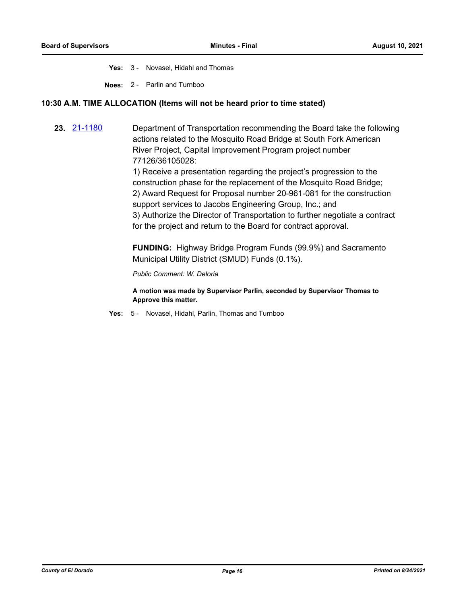**Yes:** 3 - Novasel, Hidahl and Thomas

**Noes:** 2 - Parlin and Turnboo

## **10:30 A.M. TIME ALLOCATION (Items will not be heard prior to time stated)**

**23.** [21-1180](http://eldorado.legistar.com/gateway.aspx?m=l&id=/matter.aspx?key=30075) Department of Transportation recommending the Board take the following actions related to the Mosquito Road Bridge at South Fork American River Project, Capital Improvement Program project number 77126/36105028:

> 1) Receive a presentation regarding the project's progression to the construction phase for the replacement of the Mosquito Road Bridge; 2) Award Request for Proposal number 20-961-081 for the construction support services to Jacobs Engineering Group, Inc.; and 3) Authorize the Director of Transportation to further negotiate a contract for the project and return to the Board for contract approval.

**FUNDING:** Highway Bridge Program Funds (99.9%) and Sacramento Municipal Utility District (SMUD) Funds (0.1%).

*Public Comment: W. Deloria*

**A motion was made by Supervisor Parlin, seconded by Supervisor Thomas to Approve this matter.**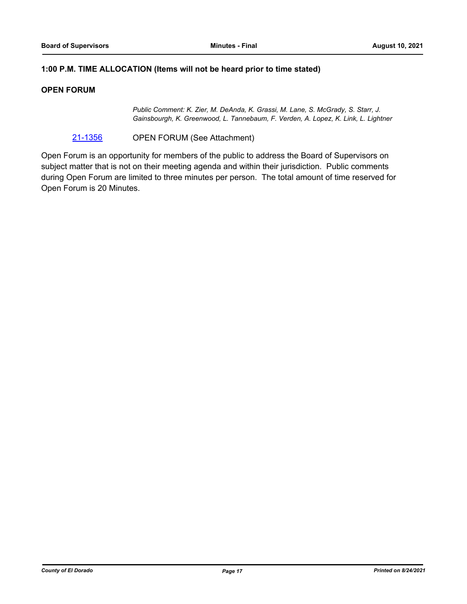## **1:00 P.M. TIME ALLOCATION (Items will not be heard prior to time stated)**

## **OPEN FORUM**

*Public Comment: K. Zier, M. DeAnda, K. Grassi, M. Lane, S. McGrady, S. Starr, J. Gainsbourgh, K. Greenwood, L. Tannebaum, F. Verden, A. Lopez, K. Link, L. Lightner*

[21-1356](http://eldorado.legistar.com/gateway.aspx?m=l&id=/matter.aspx?key=30251) OPEN FORUM (See Attachment)

Open Forum is an opportunity for members of the public to address the Board of Supervisors on subject matter that is not on their meeting agenda and within their jurisdiction. Public comments during Open Forum are limited to three minutes per person. The total amount of time reserved for Open Forum is 20 Minutes.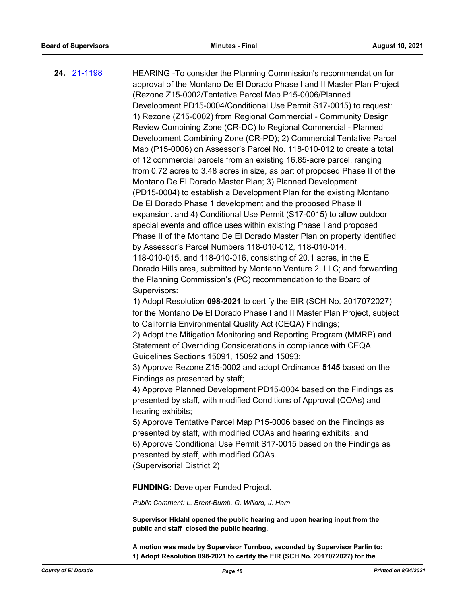**24.** [21-1198](http://eldorado.legistar.com/gateway.aspx?m=l&id=/matter.aspx?key=30093) HEARING -To consider the Planning Commission's recommendation for approval of the Montano De El Dorado Phase I and II Master Plan Project (Rezone Z15-0002/Tentative Parcel Map P15-0006/Planned Development PD15-0004/Conditional Use Permit S17-0015) to request: 1) Rezone (Z15-0002) from Regional Commercial - Community Design Review Combining Zone (CR-DC) to Regional Commercial - Planned Development Combining Zone (CR-PD); 2) Commercial Tentative Parcel Map (P15-0006) on Assessor's Parcel No. 118-010-012 to create a total of 12 commercial parcels from an existing 16.85-acre parcel, ranging from 0.72 acres to 3.48 acres in size, as part of proposed Phase II of the Montano De El Dorado Master Plan; 3) Planned Development (PD15-0004) to establish a Development Plan for the existing Montano De El Dorado Phase 1 development and the proposed Phase II expansion. and 4) Conditional Use Permit (S17-0015) to allow outdoor special events and office uses within existing Phase I and proposed Phase II of the Montano De El Dorado Master Plan on property identified by Assessor's Parcel Numbers 118-010-012, 118-010-014, 118-010-015, and 118-010-016, consisting of 20.1 acres, in the El Dorado Hills area, submitted by Montano Venture 2, LLC; and forwarding the Planning Commission's (PC) recommendation to the Board of Supervisors: 1) Adopt Resolution **098-2021** to certify the EIR (SCH No. 2017072027) for the Montano De El Dorado Phase I and II Master Plan Project, subject to California Environmental Quality Act (CEQA) Findings; 2) Adopt the Mitigation Monitoring and Reporting Program (MMRP) and Statement of Overriding Considerations in compliance with CEQA Guidelines Sections 15091, 15092 and 15093; 3) Approve Rezone Z15-0002 and adopt Ordinance **5145** based on the Findings as presented by staff; 4) Approve Planned Development PD15-0004 based on the Findings as presented by staff, with modified Conditions of Approval (COAs) and hearing exhibits; 5) Approve Tentative Parcel Map P15-0006 based on the Findings as presented by staff, with modified COAs and hearing exhibits; and 6) Approve Conditional Use Permit S17-0015 based on the Findings as presented by staff, with modified COAs. (Supervisorial District 2) **FUNDING:** Developer Funded Project. *Public Comment: L. Brent-Bumb, G. Willard, J. Harn* **Supervisor Hidahl opened the public hearing and upon hearing input from the** 

> **A motion was made by Supervisor Turnboo, seconded by Supervisor Parlin to: 1) Adopt Resolution 098-2021 to certify the EIR (SCH No. 2017072027) for the**

**public and staff closed the public hearing.**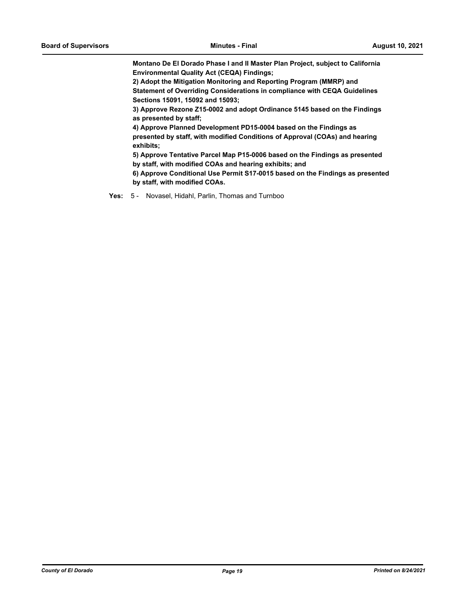**Montano De El Dorado Phase I and II Master Plan Project, subject to California Environmental Quality Act (CEQA) Findings;**

**2) Adopt the Mitigation Monitoring and Reporting Program (MMRP) and Statement of Overriding Considerations in compliance with CEQA Guidelines Sections 15091, 15092 and 15093;** 

**3) Approve Rezone Z15-0002 and adopt Ordinance 5145 based on the Findings as presented by staff;** 

**4) Approve Planned Development PD15-0004 based on the Findings as presented by staff, with modified Conditions of Approval (COAs) and hearing exhibits;** 

**5) Approve Tentative Parcel Map P15-0006 based on the Findings as presented by staff, with modified COAs and hearing exhibits; and**

**6) Approve Conditional Use Permit S17-0015 based on the Findings as presented by staff, with modified COAs.**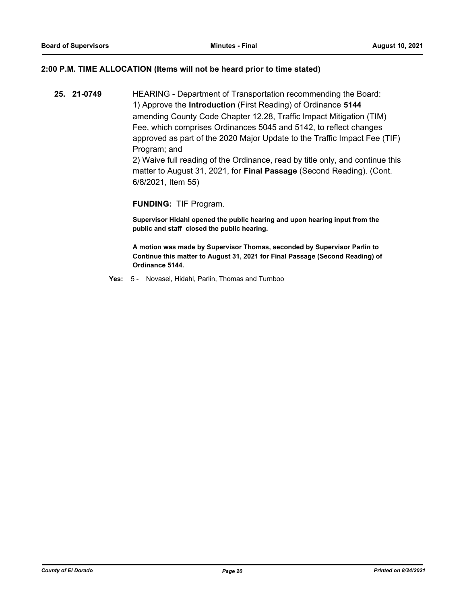### **2:00 P.M. TIME ALLOCATION (Items will not be heard prior to time stated)**

**25. 21-0749** HEARING - Department of Transportation recommending the Board: 1) Approve the **Introduction** (First Reading) of Ordinance **5144** amending County Code Chapter 12.28, Traffic Impact Mitigation (TIM) Fee, which comprises Ordinances 5045 and 5142, to reflect changes approved as part of the 2020 Major Update to the Traffic Impact Fee (TIF) Program; and

2) Waive full reading of the Ordinance, read by title only, and continue this matter to August 31, 2021, for **Final Passage** (Second Reading). (Cont. 6/8/2021, Item 55)

#### **FUNDING:** TIF Program.

**Supervisor Hidahl opened the public hearing and upon hearing input from the public and staff closed the public hearing.**

**A motion was made by Supervisor Thomas, seconded by Supervisor Parlin to Continue this matter to August 31, 2021 for Final Passage (Second Reading) of Ordinance 5144.**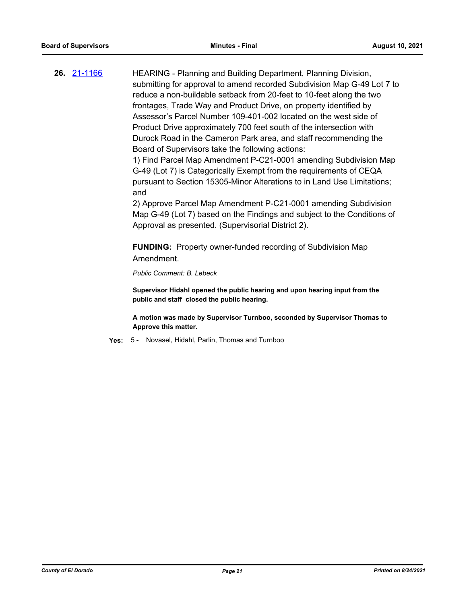**26.** [21-1166](http://eldorado.legistar.com/gateway.aspx?m=l&id=/matter.aspx?key=30061) HEARING - Planning and Building Department, Planning Division, submitting for approval to amend recorded Subdivision Map G-49 Lot 7 to reduce a non-buildable setback from 20-feet to 10-feet along the two frontages, Trade Way and Product Drive, on property identified by Assessor's Parcel Number 109-401-002 located on the west side of Product Drive approximately 700 feet south of the intersection with Durock Road in the Cameron Park area, and staff recommending the Board of Supervisors take the following actions:

> 1) Find Parcel Map Amendment P-C21-0001 amending Subdivision Map G-49 (Lot 7) is Categorically Exempt from the requirements of CEQA pursuant to Section 15305-Minor Alterations to in Land Use Limitations; and

> 2) Approve Parcel Map Amendment P-C21-0001 amending Subdivision Map G-49 (Lot 7) based on the Findings and subject to the Conditions of Approval as presented. (Supervisorial District 2).

**FUNDING:** Property owner-funded recording of Subdivision Map Amendment.

*Public Comment: B. Lebeck*

**Supervisor Hidahl opened the public hearing and upon hearing input from the public and staff closed the public hearing.**

**A motion was made by Supervisor Turnboo, seconded by Supervisor Thomas to Approve this matter.**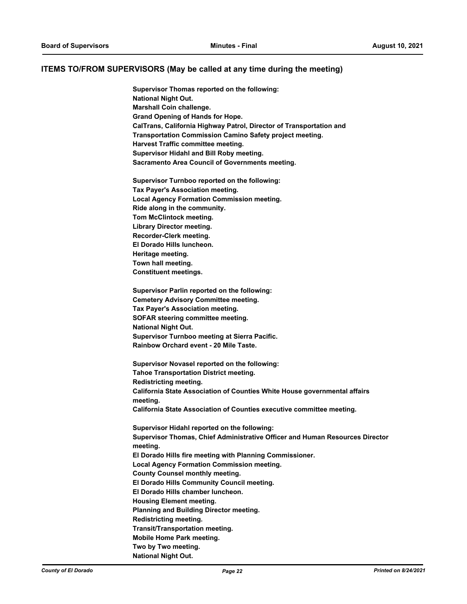#### **ITEMS TO/FROM SUPERVISORS (May be called at any time during the meeting)**

**Supervisor Thomas reported on the following: National Night Out. Marshall Coin challenge. Grand Opening of Hands for Hope. CalTrans, California Highway Patrol, Director of Transportation and Transportation Commission Camino Safety project meeting. Harvest Traffic committee meeting. Supervisor Hidahl and Bill Roby meeting. Sacramento Area Council of Governments meeting. Supervisor Turnboo reported on the following: Tax Payer's Association meeting. Local Agency Formation Commission meeting. Ride along in the community. Tom McClintock meeting. Library Director meeting. Recorder-Clerk meeting. El Dorado Hills luncheon. Heritage meeting. Town hall meeting. Constituent meetings. Supervisor Parlin reported on the following: Cemetery Advisory Committee meeting. Tax Payer's Association meeting. SOFAR steering committee meeting. National Night Out. Supervisor Turnboo meeting at Sierra Pacific. Rainbow Orchard event - 20 Mile Taste. Supervisor Novasel reported on the following: Tahoe Transportation District meeting. Redistricting meeting. California State Association of Counties White House governmental affairs meeting. California State Association of Counties executive committee meeting. Supervisor Hidahl reported on the following: Supervisor Thomas, Chief Administrative Officer and Human Resources Director meeting. El Dorado Hills fire meeting with Planning Commissioner. Local Agency Formation Commission meeting. County Counsel monthly meeting. El Dorado Hills Community Council meeting. El Dorado Hills chamber luncheon. Housing Element meeting. Planning and Building Director meeting. Redistricting meeting. Transit/Transportation meeting. Mobile Home Park meeting. Two by Two meeting. National Night Out.**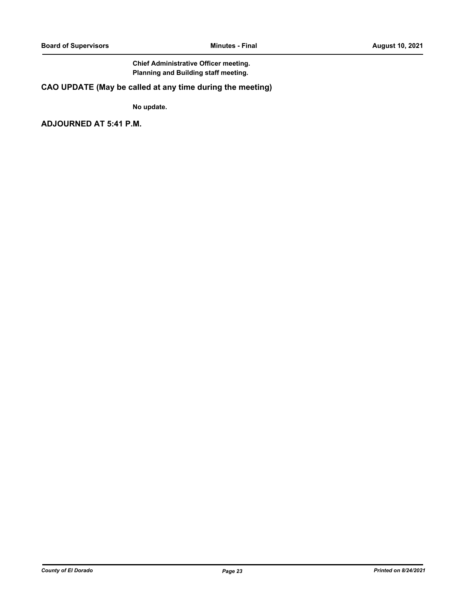## **Chief Administrative Officer meeting. Planning and Building staff meeting.**

## **CAO UPDATE (May be called at any time during the meeting)**

**No update.**

**ADJOURNED AT 5:41 P.M.**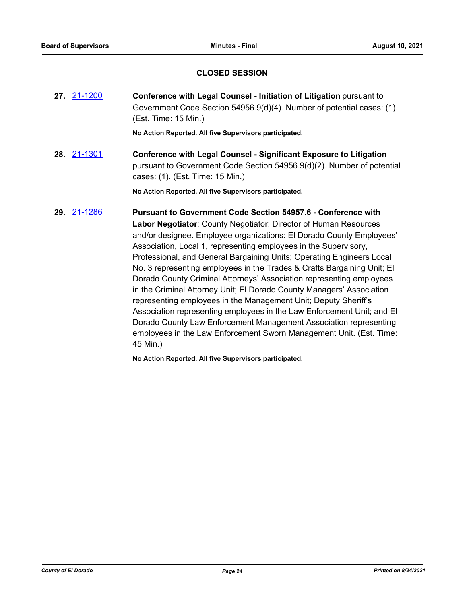## **CLOSED SESSION**

**27.** [21-1200](http://eldorado.legistar.com/gateway.aspx?m=l&id=/matter.aspx?key=30095) **Conference with Legal Counsel - Initiation of Litigation** pursuant to Government Code Section 54956.9(d)(4). Number of potential cases: (1). (Est. Time: 15 Min.)

**No Action Reported. All five Supervisors participated.**

**28.** [21-1301](http://eldorado.legistar.com/gateway.aspx?m=l&id=/matter.aspx?key=30196) **Conference with Legal Counsel - Significant Exposure to Litigation** pursuant to Government Code Section 54956.9(d)(2). Number of potential cases: (1). (Est. Time: 15 Min.)

**No Action Reported. All five Supervisors participated.**

**29.** [21-1286](http://eldorado.legistar.com/gateway.aspx?m=l&id=/matter.aspx?key=30181) **Pursuant to Government Code Section 54957.6 - Conference with Labor Negotiator**: County Negotiator: Director of Human Resources and/or designee. Employee organizations: El Dorado County Employees' Association, Local 1, representing employees in the Supervisory, Professional, and General Bargaining Units; Operating Engineers Local No. 3 representing employees in the Trades & Crafts Bargaining Unit; El Dorado County Criminal Attorneys' Association representing employees in the Criminal Attorney Unit; El Dorado County Managers' Association representing employees in the Management Unit; Deputy Sheriff's Association representing employees in the Law Enforcement Unit; and El Dorado County Law Enforcement Management Association representing employees in the Law Enforcement Sworn Management Unit. (Est. Time: 45 Min.)

**No Action Reported. All five Supervisors participated.**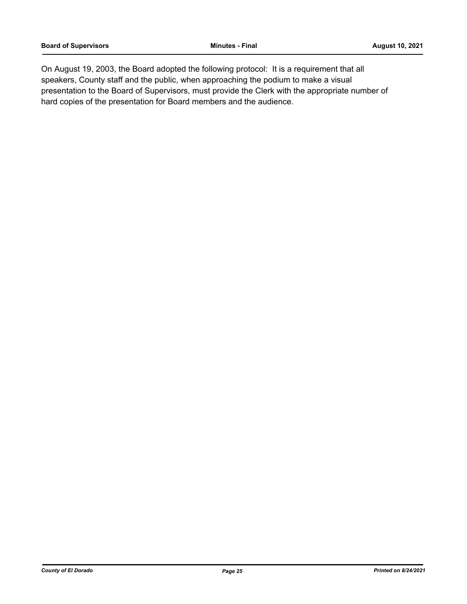On August 19, 2003, the Board adopted the following protocol: It is a requirement that all speakers, County staff and the public, when approaching the podium to make a visual presentation to the Board of Supervisors, must provide the Clerk with the appropriate number of hard copies of the presentation for Board members and the audience.